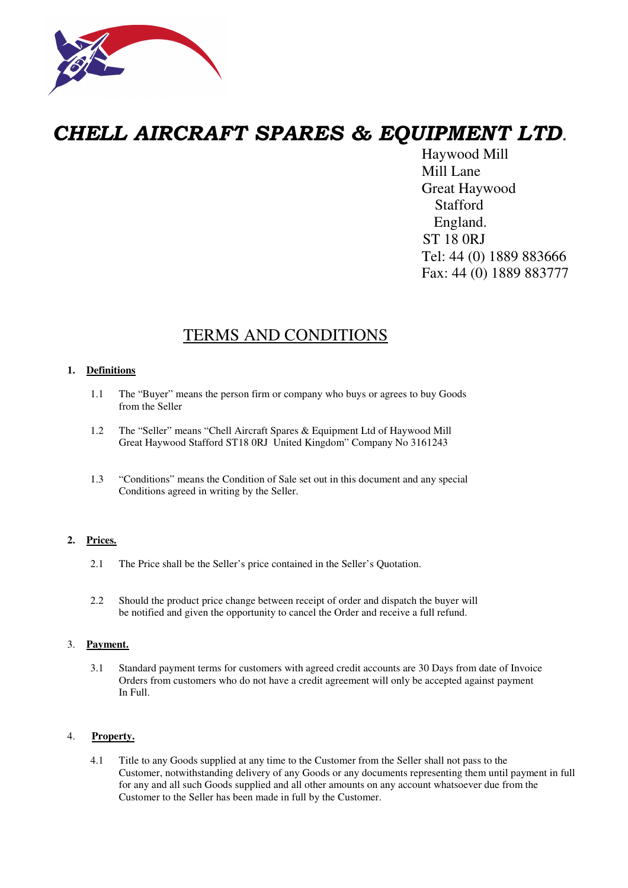

# *CHELL AIRCRAFT SPARES & EQUIPMENT LTD*.

 Haywood Mill Mill Lane Great Haywood **Stafford**  England. ST 18 0RJ Tel: 44 (0) 1889 883666 Fax: 44 (0) 1889 883777

# TERMS AND CONDITIONS

## **1. Definitions**

- 1.1 The "Buyer" means the person firm or company who buys or agrees to buy Goods from the Seller
- 1.2 The "Seller" means "Chell Aircraft Spares & Equipment Ltd of Haywood Mill Great Haywood Stafford ST18 0RJ United Kingdom" Company No 3161243
- 1.3 "Conditions" means the Condition of Sale set out in this document and any special Conditions agreed in writing by the Seller.

## **2. Prices.**

- 2.1 The Price shall be the Seller's price contained in the Seller's Quotation.
- 2.2 Should the product price change between receipt of order and dispatch the buyer will be notified and given the opportunity to cancel the Order and receive a full refund.

#### 3. **Payment.**

3.1 Standard payment terms for customers with agreed credit accounts are 30 Days from date of Invoice Orders from customers who do not have a credit agreement will only be accepted against payment In Full.

#### 4. **Property.**

4.1 Title to any Goods supplied at any time to the Customer from the Seller shall not pass to the Customer, notwithstanding delivery of any Goods or any documents representing them until payment in full for any and all such Goods supplied and all other amounts on any account whatsoever due from the Customer to the Seller has been made in full by the Customer.